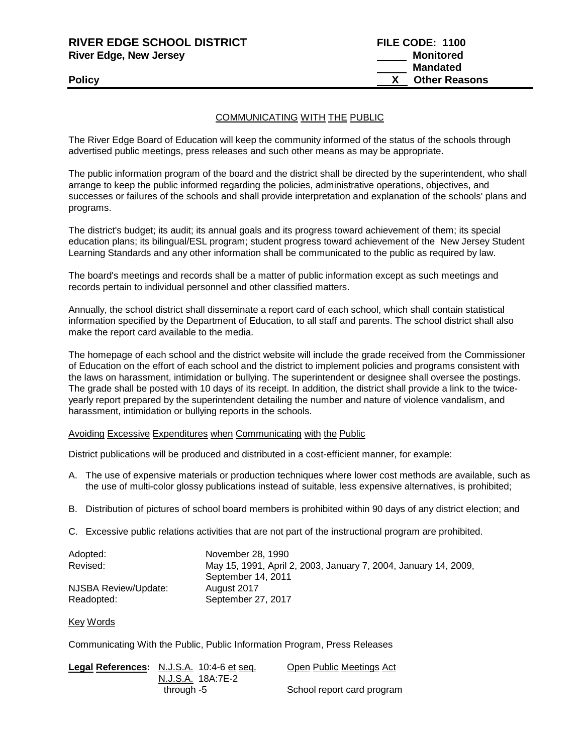| <b>RIVER EDGE SCHOOL DISTRICT</b> | FILE CODE: 1100      |
|-----------------------------------|----------------------|
| <b>River Edge, New Jersey</b>     | Monitored            |
|                                   | Mandated             |
| <b>Policy</b>                     | <b>Other Reasons</b> |

## COMMUNICATING WITH THE PUBLIC

The River Edge Board of Education will keep the community informed of the status of the schools through advertised public meetings, press releases and such other means as may be appropriate.

The public information program of the board and the district shall be directed by the superintendent, who shall arrange to keep the public informed regarding the policies, administrative operations, objectives, and successes or failures of the schools and shall provide interpretation and explanation of the schools' plans and programs.

The district's budget; its audit; its annual goals and its progress toward achievement of them; its special education plans; its bilingual/ESL program; student progress toward achievement of the New Jersey Student Learning Standards and any other information shall be communicated to the public as required by law.

The board's meetings and records shall be a matter of public information except as such meetings and records pertain to individual personnel and other classified matters.

Annually, the school district shall disseminate a report card of each school, which shall contain statistical information specified by the Department of Education, to all staff and parents. The school district shall also make the report card available to the media.

The homepage of each school and the district website will include the grade received from the Commissioner of Education on the effort of each school and the district to implement policies and programs consistent with the laws on harassment, intimidation or bullying. The superintendent or designee shall oversee the postings. The grade shall be posted with 10 days of its receipt. In addition, the district shall provide a link to the twiceyearly report prepared by the superintendent detailing the number and nature of violence vandalism, and harassment, intimidation or bullying reports in the schools.

Avoiding Excessive Expenditures when Communicating with the Public

District publications will be produced and distributed in a cost-efficient manner, for example:

- A. The use of expensive materials or production techniques where lower cost methods are available, such as the use of multi-color glossy publications instead of suitable, less expensive alternatives, is prohibited;
- B. Distribution of pictures of school board members is prohibited within 90 days of any district election; and
- C. Excessive public relations activities that are not part of the instructional program are prohibited.

| Adopted:             | November 28, 1990                                               |
|----------------------|-----------------------------------------------------------------|
| Revised:             | May 15, 1991, April 2, 2003, January 7, 2004, January 14, 2009, |
|                      | September 14, 2011                                              |
| NJSBA Review/Update: | August 2017                                                     |
| Readopted:           | September 27, 2017                                              |

Key Words

Communicating With the Public, Public Information Program, Press Releases

| Legal References: N.J.S.A. 10:4-6 et seq. | Open Public Meetings Act   |
|-------------------------------------------|----------------------------|
| N.J.S.A. 18A:7E-2                         |                            |
| through -5                                | School report card program |